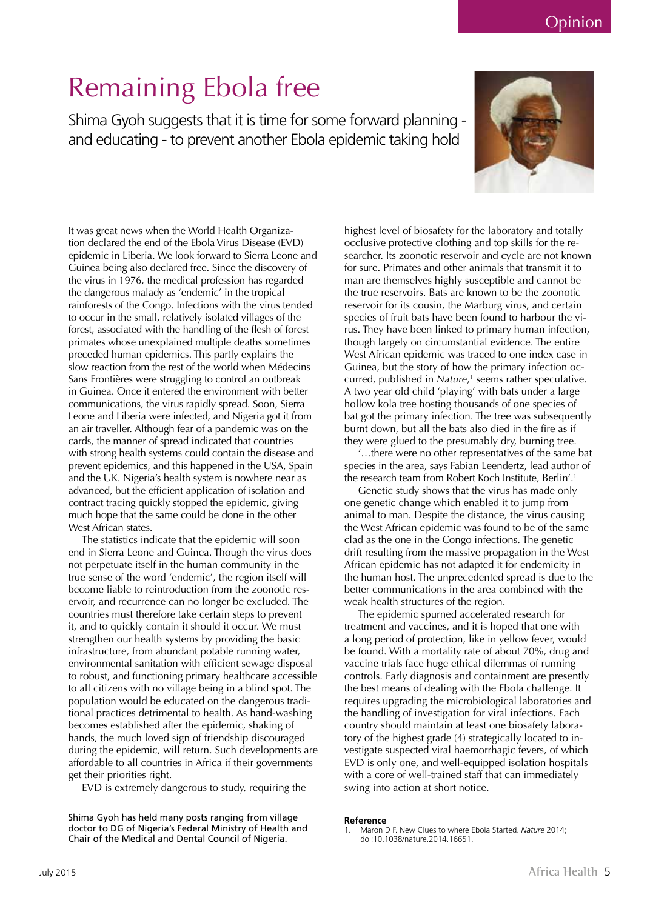### Opinion

# Remaining Ebola free

Shima Gyoh suggests that it is time for some forward planning and educating - to prevent another Ebola epidemic taking hold



It was great news when the World Health Organization declared the end of the Ebola Virus Disease (EVD) epidemic in Liberia. We look forward to Sierra Leone and Guinea being also declared free. Since the discovery of the virus in 1976, the medical profession has regarded the dangerous malady as 'endemic' in the tropical rainforests of the Congo. Infections with the virus tended to occur in the small, relatively isolated villages of the forest, associated with the handling of the flesh of forest primates whose unexplained multiple deaths sometimes preceded human epidemics. This partly explains the slow reaction from the rest of the world when Médecins Sans Frontières were struggling to control an outbreak in Guinea. Once it entered the environment with better communications, the virus rapidly spread. Soon, Sierra Leone and Liberia were infected, and Nigeria got it from an air traveller. Although fear of a pandemic was on the cards, the manner of spread indicated that countries with strong health systems could contain the disease and prevent epidemics, and this happened in the USA, Spain and the UK. Nigeria's health system is nowhere near as advanced, but the efficient application of isolation and contract tracing quickly stopped the epidemic, giving much hope that the same could be done in the other West African states.

The statistics indicate that the epidemic will soon end in Sierra Leone and Guinea. Though the virus does not perpetuate itself in the human community in the true sense of the word 'endemic', the region itself will become liable to reintroduction from the zoonotic reservoir, and recurrence can no longer be excluded. The countries must therefore take certain steps to prevent it, and to quickly contain it should it occur. We must strengthen our health systems by providing the basic infrastructure, from abundant potable running water, environmental sanitation with efficient sewage disposal to robust, and functioning primary healthcare accessible to all citizens with no village being in a blind spot. The population would be educated on the dangerous traditional practices detrimental to health. As hand-washing becomes established after the epidemic, shaking of hands, the much loved sign of friendship discouraged during the epidemic, will return. Such developments are affordable to all countries in Africa if their governments get their priorities right.

EVD is extremely dangerous to study, requiring the

highest level of biosafety for the laboratory and totally occlusive protective clothing and top skills for the researcher. Its zoonotic reservoir and cycle are not known for sure. Primates and other animals that transmit it to man are themselves highly susceptible and cannot be the true reservoirs. Bats are known to be the zoonotic reservoir for its cousin, the Marburg virus, and certain species of fruit bats have been found to harbour the virus. They have been linked to primary human infection, though largely on circumstantial evidence. The entire West African epidemic was traced to one index case in Guinea, but the story of how the primary infection occurred, published in *Nature*,<sup>1</sup> seems rather speculative. A two year old child 'playing' with bats under a large hollow kola tree hosting thousands of one species of bat got the primary infection. The tree was subsequently burnt down, but all the bats also died in the fire as if they were glued to the presumably dry, burning tree.

'…there were no other representatives of the same bat species in the area, says Fabian Leendertz, lead author of the research team from Robert Koch Institute, Berlin'.<sup>1</sup>

Genetic study shows that the virus has made only one genetic change which enabled it to jump from animal to man. Despite the distance, the virus causing the West African epidemic was found to be of the same clad as the one in the Congo infections. The genetic drift resulting from the massive propagation in the West African epidemic has not adapted it for endemicity in the human host. The unprecedented spread is due to the better communications in the area combined with the weak health structures of the region.

The epidemic spurned accelerated research for treatment and vaccines, and it is hoped that one with a long period of protection, like in yellow fever, would be found. With a mortality rate of about 70%, drug and vaccine trials face huge ethical dilemmas of running controls. Early diagnosis and containment are presently the best means of dealing with the Ebola challenge. It requires upgrading the microbiological laboratories and the handling of investigation for viral infections. Each country should maintain at least one biosafety laboratory of the highest grade (4) strategically located to investigate suspected viral haemorrhagic fevers, of which EVD is only one, and well-equipped isolation hospitals with a core of well-trained staff that can immediately swing into action at short notice.

#### **Reference**

Shima Gyoh has held many posts ranging from village doctor to DG of Nigeria's Federal Ministry of Health and Chair of the Medical and Dental Council of Nigeria.

<sup>1.</sup> Maron D F. New Clues to where Ebola Started. *Nature* 2014; doi:10.1038/nature.2014.16651.